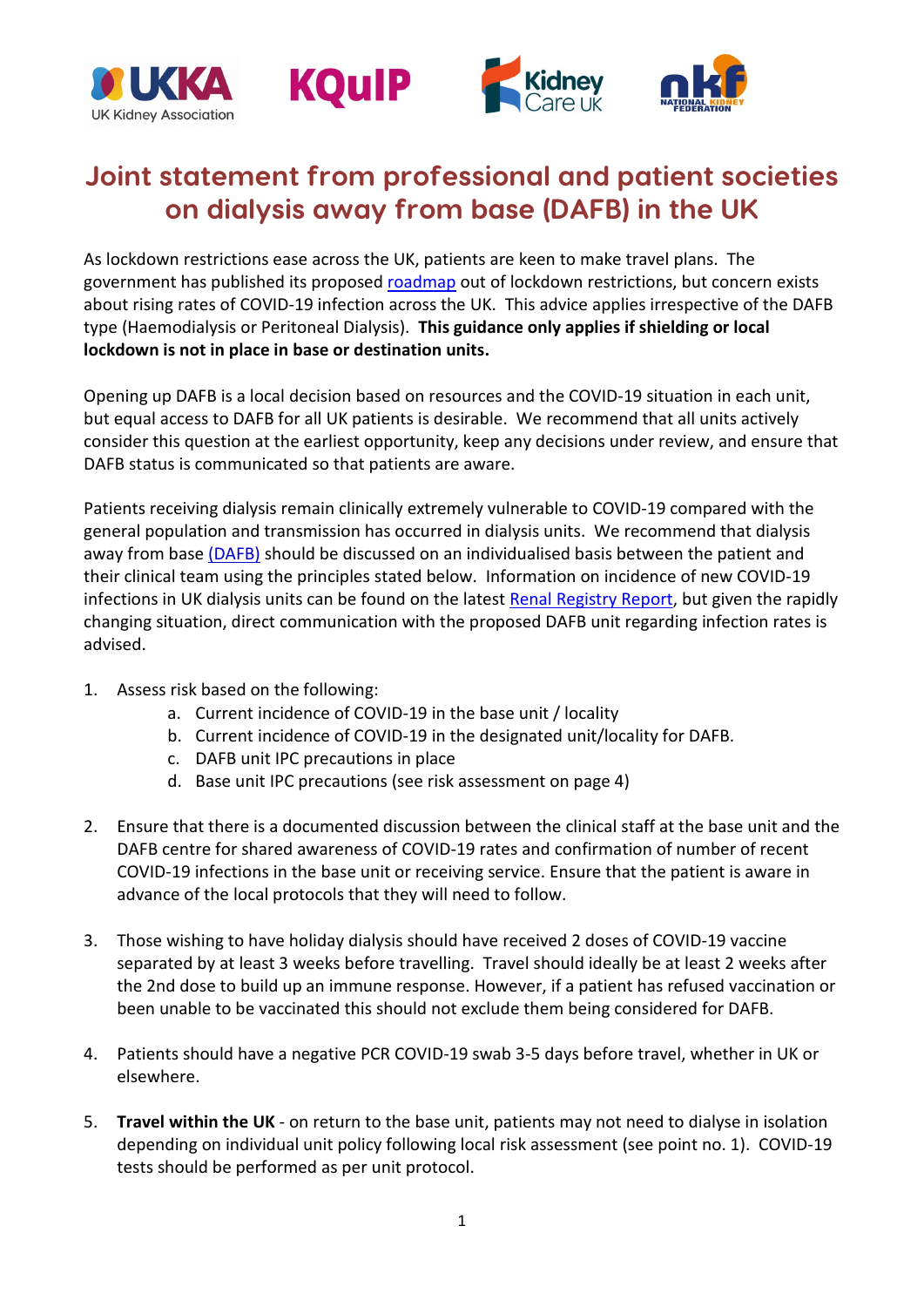

## **Joint statement from professional and patient societies on dialysis away from base (DAFB) in the UK**

As lockdown restrictions ease across the UK, patients are keen to make travel plans. The government has published its proposed [roadmap](https://www.gov.uk/coronavirus) out of lockdown restrictions, but concern exists about rising rates of COVID-19 infection across the UK. This advice applies irrespective of the DAFB type (Haemodialysis or Peritoneal Dialysis). **This guidance only applies if shielding or local lockdown is not in place in base or destination units.**

Opening up DAFB is a local decision based on resources and the COVID-19 situation in each unit, but equal access to DAFB for all UK patients is desirable. We recommend that all units actively consider this question at the earliest opportunity, keep any decisions under review, and ensure that DAFB status is communicated so that patients are aware.

Patients receiving dialysis remain clinically extremely vulnerable to COVID-19 compared with the general population and transmission has occurred in dialysis units. We recommend that dialysis away from base [\(DAFB\)](https://www.england.nhs.uk/wp-content/uploads/2018/07/Dialysis-away-from-base.pdf) should be discussed on an individualised basis between the patient and their clinical team using the principles stated below. Information on incidence of new COVID-19 infections in UK dialysis units can be found on the latest [Renal Registry Report,](https://renal.org/audit-research/publications-presentations/report/covid-19-surveillance-reports) but given the rapidly changing situation, direct communication with the proposed DAFB unit regarding infection rates is advised.

- 1. Assess risk based on the following:
	- a. Current incidence of COVID-19 in the base unit / locality
	- b. Current incidence of COVID-19 in the designated unit/locality for DAFB.
	- c. DAFB unit IPC precautions in place
	- d. Base unit IPC precautions (see risk assessment on page 4)
- 2. Ensure that there is a documented discussion between the clinical staff at the base unit and the DAFB centre for shared awareness of COVID-19 rates and confirmation of number of recent COVID-19 infections in the base unit or receiving service. Ensure that the patient is aware in advance of the local protocols that they will need to follow.
- 3. Those wishing to have holiday dialysis should have received 2 doses of COVID-19 vaccine separated by at least 3 weeks before travelling. Travel should ideally be at least 2 weeks after the 2nd dose to build up an immune response. However, if a patient has refused vaccination or been unable to be vaccinated this should not exclude them being considered for DAFB.
- 4. Patients should have a negative PCR COVID-19 swab 3-5 days before travel, whether in UK or elsewhere.
- 5. **Travel within the UK** on return to the base unit, patients may not need to dialyse in isolation depending on individual unit policy following local risk assessment (see point no. 1). COVID-19 tests should be performed as per unit protocol.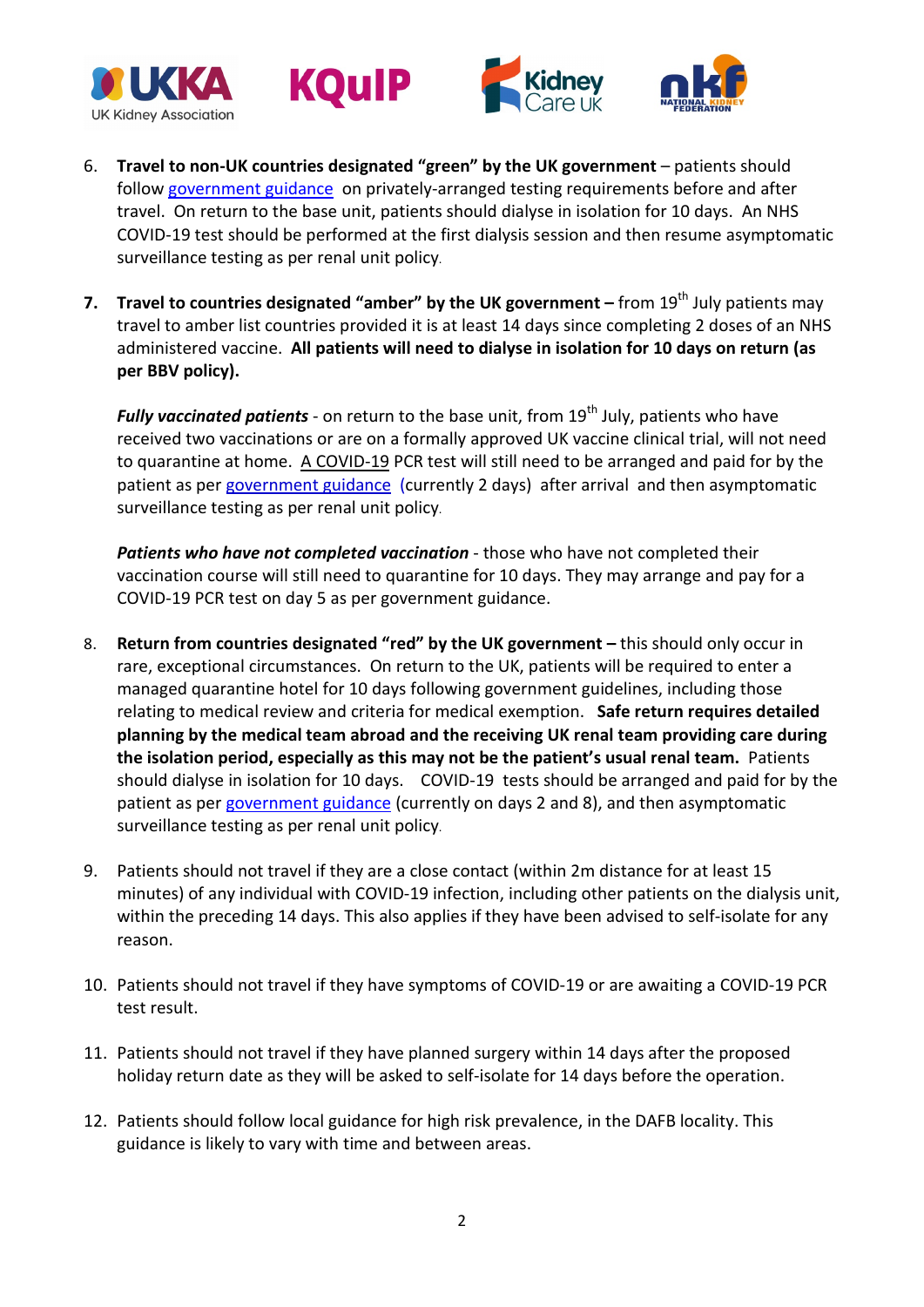







- 6. **Travel to non-UK countries designated "green" by the UK government** patients should follow [government guidance](https://www.gov.uk/guidance/travel-advice-novel-coronavirus) on privately-arranged testing requirements before and after travel. On return to the base unit, patients should dialyse in isolation for 10 days. An NHS COVID-19 test should be performed at the first dialysis session and then resume asymptomatic surveillance testing as per renal unit policy.
- **7. Travel to countries designated "amber" by the UK government –** from 19<sup>th</sup> July patients may travel to amber list countries provided it is at least 14 days since completing 2 doses of an NHS administered vaccine. **All patients will need to dialyse in isolation for 10 days on return (as per BBV policy).**

*Fully vaccinated patients* - on return to the base unit, from 19<sup>th</sup> July, patients who have received two vaccinations or are on a formally approved UK vaccine clinical trial, will not need to quarantine at home. A COVID-19 PCR test will still need to be arranged and paid for by the patient as per [government guidance](https://www.gov.uk/government/news/quarantine-free-travel-to-resume-on-19-july-for-fully-vaccinated-passengers-returning-from-amber-list-countries) (currently 2 days) after arrival and then asymptomatic surveillance testing as per renal unit policy.

*Patients who have not completed vaccination* - those who have not completed their vaccination course will still need to quarantine for 10 days. They may arrange and pay for a COVID-19 PCR test on day 5 as per government guidance.

- 8. **Return from countries designated "red" by the UK government –** this should only occur in rare, exceptional circumstances. On return to the UK, patients will be required to enter a managed quarantine hotel for 10 days following government guidelines, including those relating to medical review and criteria for medical exemption. **Safe return requires detailed planning by the medical team abroad and the receiving UK renal team providing care during the isolation period, especially as this may not be the patient's usual renal team.** Patients should dialyse in isolation for 10 days. COVID-19 tests should be arranged and paid for by the patient as per [government guidance](https://www.gov.uk/guidance/travel-advice-novel-coronavirus) (currently on days 2 and 8), and then asymptomatic surveillance testing as per renal unit policy.
- 9. Patients should not travel if they are a close contact (within 2m distance for at least 15 minutes) of any individual with COVID-19 infection, including other patients on the dialysis unit, within the preceding 14 days. This also applies if they have been advised to self-isolate for any reason.
- 10. Patients should not travel if they have symptoms of COVID-19 or are awaiting a COVID-19 PCR test result.
- 11. Patients should not travel if they have planned surgery within 14 days after the proposed holiday return date as they will be asked to self-isolate for 14 days before the operation.
- 12. Patients should follow local guidance for high risk prevalence, in the DAFB locality. This guidance is likely to vary with time and between areas.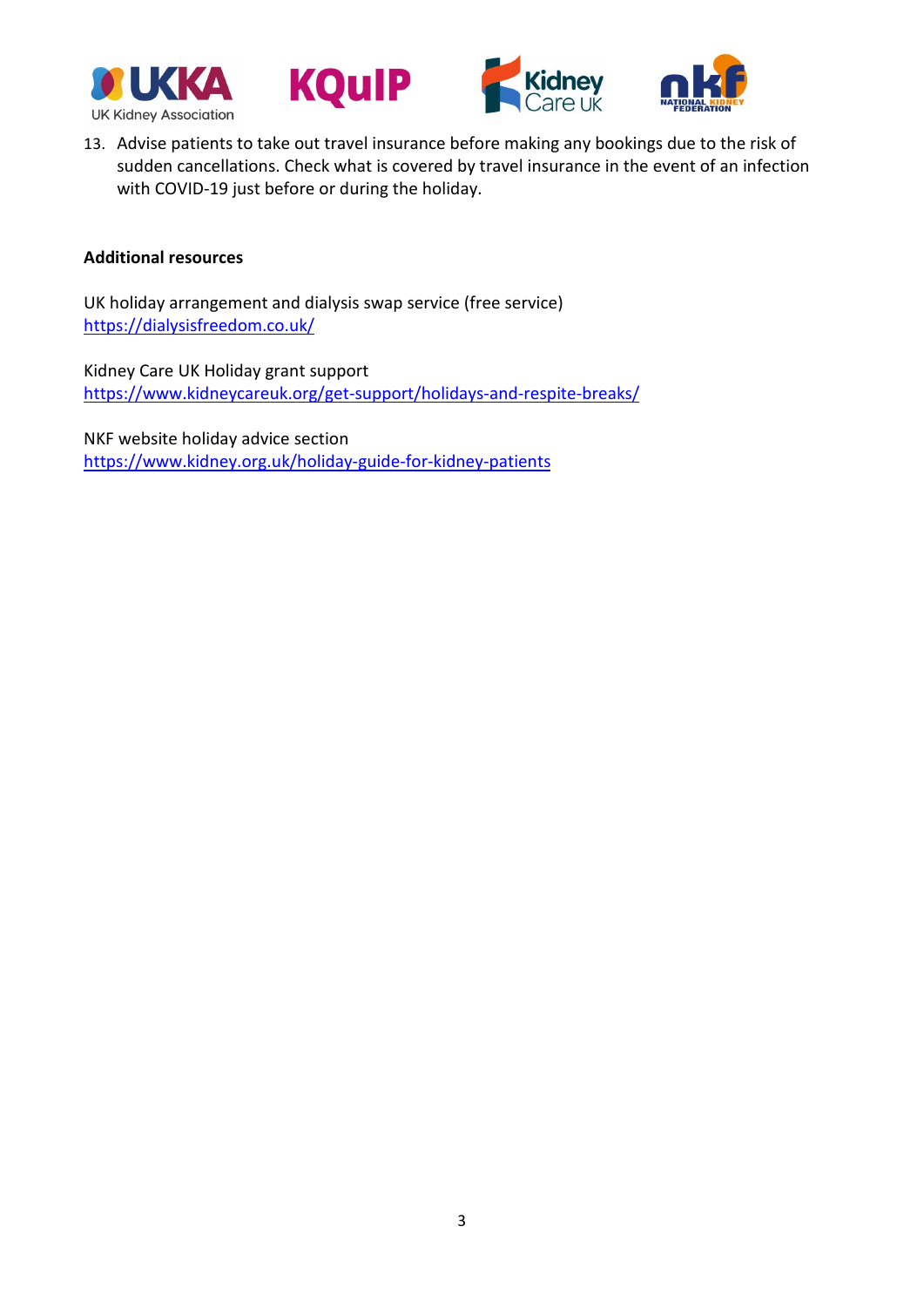







13. Advise patients to take out travel insurance before making any bookings due to the risk of sudden cancellations. Check what is covered by travel insurance in the event of an infection with COVID-19 just before or during the holiday.

## **Additional resources**

UK holiday arrangement and dialysis swap service (free service) <https://dialysisfreedom.co.uk/>

Kidney Care UK Holiday grant support <https://www.kidneycareuk.org/get-support/holidays-and-respite-breaks/>

NKF website holiday advice section <https://www.kidney.org.uk/holiday-guide-for-kidney-patients>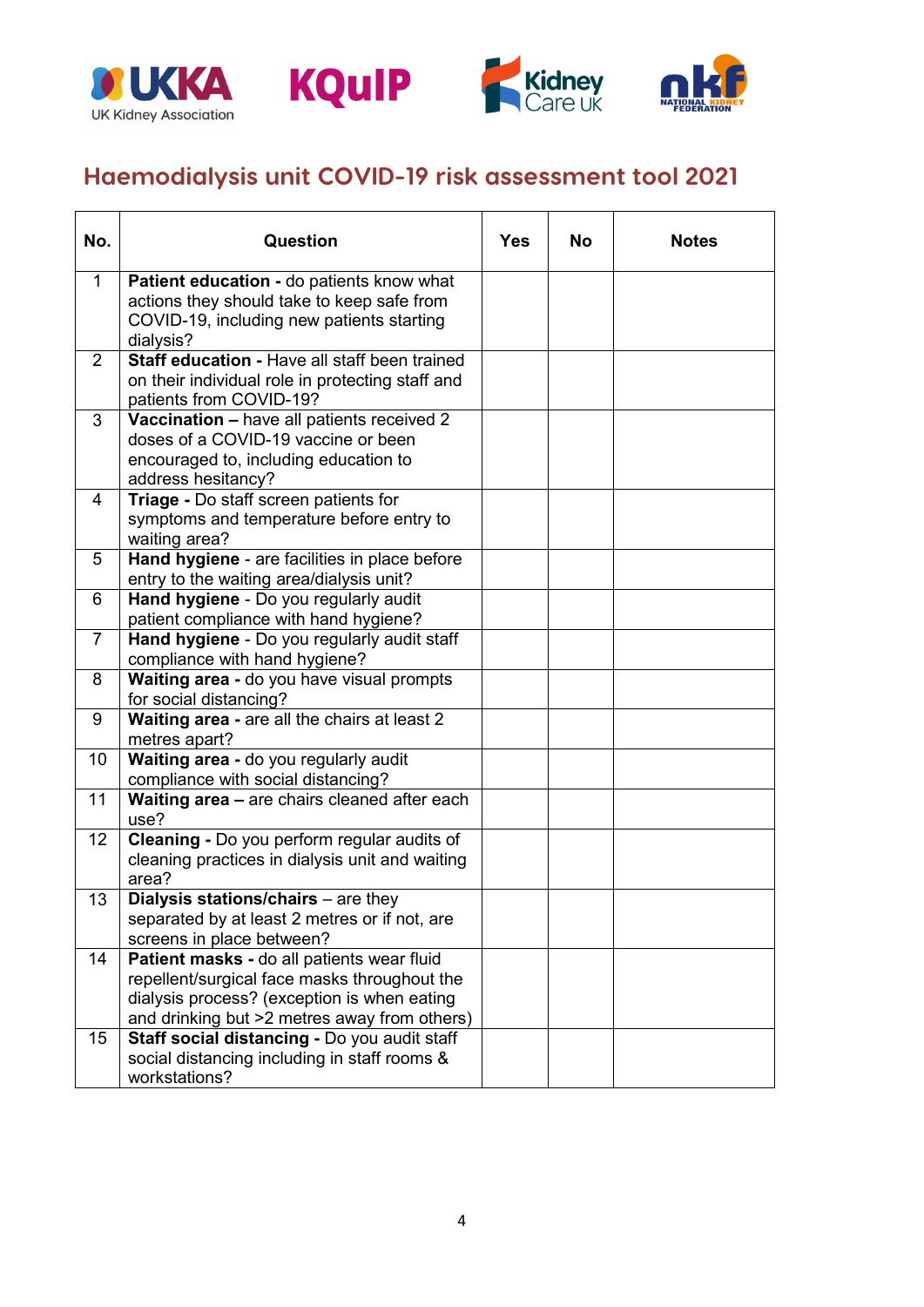







## **Haemodialysis unit COVID-19 risk assessment tool 2021**

| No.            | Question                                                                                       | <b>Yes</b> | <b>No</b> | <b>Notes</b> |
|----------------|------------------------------------------------------------------------------------------------|------------|-----------|--------------|
| 1              | Patient education - do patients know what                                                      |            |           |              |
|                | actions they should take to keep safe from                                                     |            |           |              |
|                | COVID-19, including new patients starting                                                      |            |           |              |
|                | dialysis?                                                                                      |            |           |              |
| 2              | Staff education - Have all staff been trained                                                  |            |           |              |
|                | on their individual role in protecting staff and<br>patients from COVID-19?                    |            |           |              |
| 3              | Vaccination - have all patients received 2                                                     |            |           |              |
|                | doses of a COVID-19 vaccine or been                                                            |            |           |              |
|                | encouraged to, including education to                                                          |            |           |              |
|                | address hesitancy?                                                                             |            |           |              |
| 4              | Triage - Do staff screen patients for                                                          |            |           |              |
|                | symptoms and temperature before entry to                                                       |            |           |              |
|                | waiting area?                                                                                  |            |           |              |
| 5              | Hand hygiene - are facilities in place before                                                  |            |           |              |
|                | entry to the waiting area/dialysis unit?                                                       |            |           |              |
| 6              | Hand hygiene - Do you regularly audit                                                          |            |           |              |
| $\overline{7}$ | patient compliance with hand hygiene?                                                          |            |           |              |
|                | Hand hygiene - Do you regularly audit staff<br>compliance with hand hygiene?                   |            |           |              |
| 8              | Waiting area - do you have visual prompts                                                      |            |           |              |
|                | for social distancing?                                                                         |            |           |              |
| 9              | Waiting area - are all the chairs at least 2                                                   |            |           |              |
|                | metres apart?                                                                                  |            |           |              |
| 10             | Waiting area - do you regularly audit                                                          |            |           |              |
|                | compliance with social distancing?                                                             |            |           |              |
| 11             | Waiting area - are chairs cleaned after each                                                   |            |           |              |
|                | use?                                                                                           |            |           |              |
| 12             | Cleaning - Do you perform regular audits of<br>cleaning practices in dialysis unit and waiting |            |           |              |
|                | area?                                                                                          |            |           |              |
| 13             | <b>Dialysis stations/chairs</b> $-$ are they                                                   |            |           |              |
|                | separated by at least 2 metres or if not, are                                                  |            |           |              |
|                | screens in place between?                                                                      |            |           |              |
| 14             | Patient masks - do all patients wear fluid                                                     |            |           |              |
|                | repellent/surgical face masks throughout the                                                   |            |           |              |
|                | dialysis process? (exception is when eating                                                    |            |           |              |
|                | and drinking but >2 metres away from others)                                                   |            |           |              |
| 15             | Staff social distancing - Do you audit staff                                                   |            |           |              |
|                | social distancing including in staff rooms &                                                   |            |           |              |
|                | workstations?                                                                                  |            |           |              |